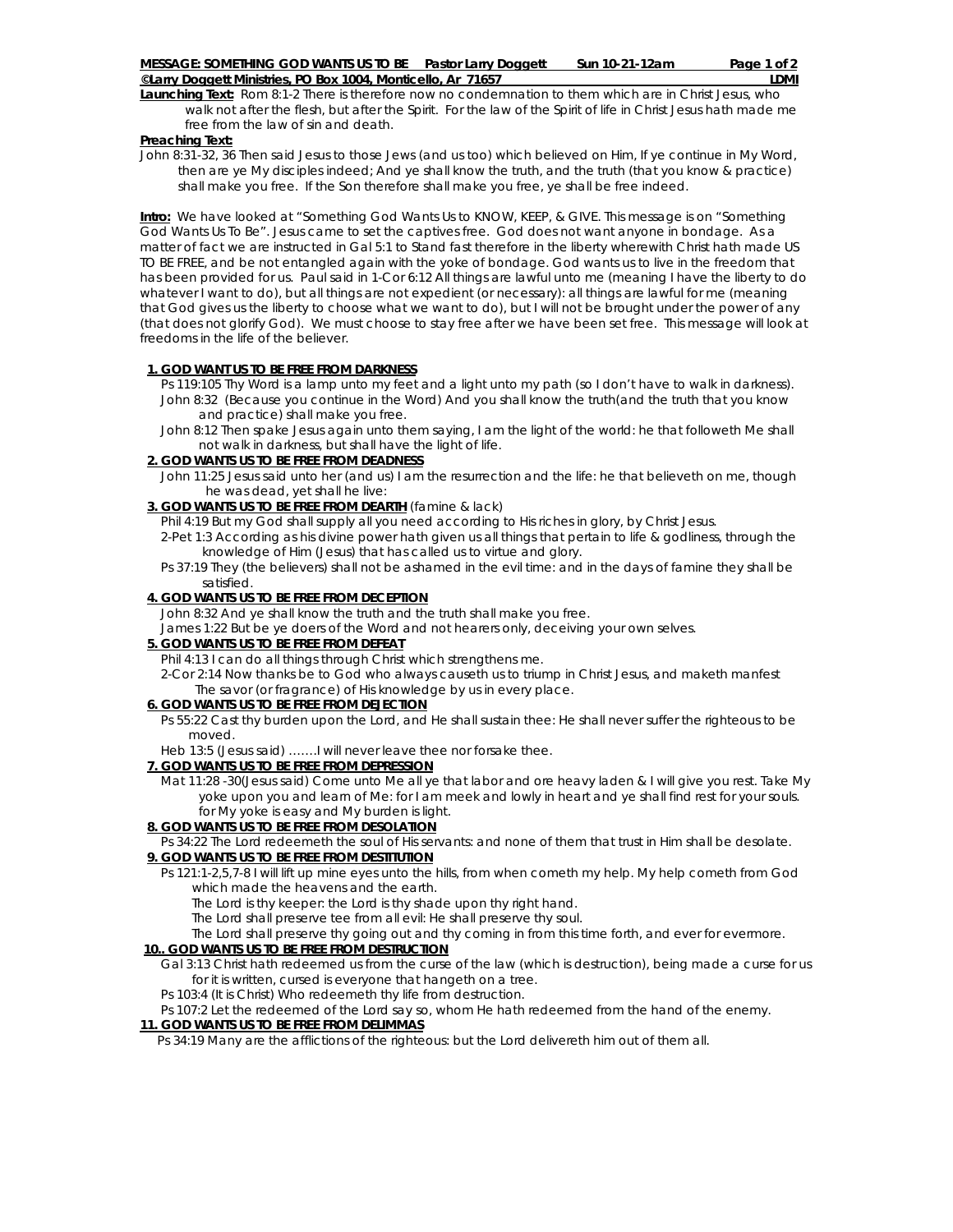**Launching Text:** Rom 8:1-2 There is therefore now no condemnation to them which are in Christ Jesus, who walk not after the flesh, but after the Spirit. For the law of the Spirit of life in Christ Jesus hath made me free from the law of sin and death.

### **Preaching Text:**

John 8:31-32, 36 Then said Jesus to those Jews (and us too) which believed on Him, If ye continue in My Word, then are ye My disciples indeed; And ye shall know the truth, and the truth (that you know & practice) shall make you free. If the Son therefore shall make you free, ye shall be free indeed.

**Intro:** We have looked at "Something God Wants Us to KNOW, KEEP, & GIVE. This message is on "Something God Wants Us To Be". Jesus came to set the captives free. God does not want anyone in bondage. As a matter of fact we are instructed in Gal 5:1 to Stand fast therefore in the liberty wherewith Christ hath made US TO BE FREE, and be not entangled again with the yoke of bondage. God wants us to live in the freedom that has been provided for us. Paul said in 1-Cor 6:12 All things are lawful unto me (meaning I have the liberty to do whatever I want to do), but all things are not expedient (or necessary): all things are lawful for me (meaning that God gives us the liberty to choose what we want to do), but I will not be brought under the power of any (that does not glorify God). We must choose to stay free after we have been set free. This message will look at freedoms in the life of the believer.

# **1. GOD WANT US TO BE FREE FROM DARKNESS**

- Ps 119:105 Thy Word is a lamp unto my feet and a light unto my path (so I don't have to walk in darkness). John 8:32 (Because you continue in the Word) And you shall know the truth(and the truth that you know and practice) shall make you free.
- John 8:12 Then spake Jesus again unto them saying, I am the light of the world: he that followeth Me shall not walk in darkness, but shall have the light of life.

# **2. GOD WANTS US TO BE FREE FROM DEADNESS**

 John 11:25 Jesus said unto her (and us) I am the resurrection and the life: he that believeth on me, though he was dead, yet shall he live:

## **3. GOD WANTS US TO BE FREE FROM DEARTH** (famine & lack)

Phil 4:19 But my God shall supply all you need according to His riches in glory, by Christ Jesus.

- 2-Pet 1:3 According as his divine power hath given us all things that pertain to life & godliness, through the knowledge of Him (Jesus) that has called us to virtue and glory.
- Ps 37:19 They (the believers) shall not be ashamed in the evil time: and in the days of famine they shall be satisfied.

# **4. GOD WANTS US TO BE FREE FROM DECEPTION**

John 8:32 And ye shall know the truth and the truth shall make you free.

James 1:22 But be ye doers of the Word and not hearers only, deceiving your own selves.

# **5. GOD WANTS US TO BE FREE FROM DEFEAT**

Phil 4:13 I can do all things through Christ which strengthens me.

 2-Cor 2:14 Now thanks be to God who always causeth us to triump in Christ Jesus, and maketh manfest The savor (or fragrance) of His knowledge by us in every place.

# **6. GOD WANTS US TO BE FREE FROM DEJECTION**

 Ps 55:22 Cast thy burden upon the Lord, and He shall sustain thee: He shall never suffer the righteous to be moved.

Heb 13:5 (Jesus said) …….I will never leave thee nor forsake thee.

# **7. GOD WANTS US TO BE FREE FROM DEPRESSION**

 Mat 11:28 -30(Jesus said) Come unto Me all ye that labor and ore heavy laden & I will give you rest. Take My yoke upon you and learn of Me: for I am meek and lowly in heart and ye shall find rest for your souls. for My yoke is easy and My burden is light.

# **8. GOD WANTS US TO BE FREE FROM DESOLATION**

Ps 34:22 The Lord redeemeth the soul of His servants: and none of them that trust in Him shall be desolate.

### **9. GOD WANTS US TO BE FREE FROM DESTITUTION**

 Ps 121:1-2,5,7-8 I will lift up mine eyes unto the hills, from when cometh my help. My help cometh from God which made the heavens and the earth.

The Lord is thy keeper: the Lord is thy shade upon thy right hand.

The Lord shall preserve tee from all evil: He shall preserve thy soul.

The Lord shall preserve thy going out and thy coming in from this time forth, and ever for evermore.

# **10.. GOD WANTS US TO BE FREE FROM DESTRUCTION**

#### Gal 3:13 Christ hath redeemed us from the curse of the law (which is destruction), being made a curse for us for it is written, cursed is everyone that hangeth on a tree.

## Ps 103:4 (It is Christ) Who redeemeth thy life from destruction.

Ps 107:2 Let the redeemed of the Lord say so, whom He hath redeemed from the hand of the enemy.

# **11. GOD WANTS US TO BE FREE FROM DELIMMAS**

Ps 34:19 Many are the afflictions of the righteous: but the Lord delivereth him out of them all.